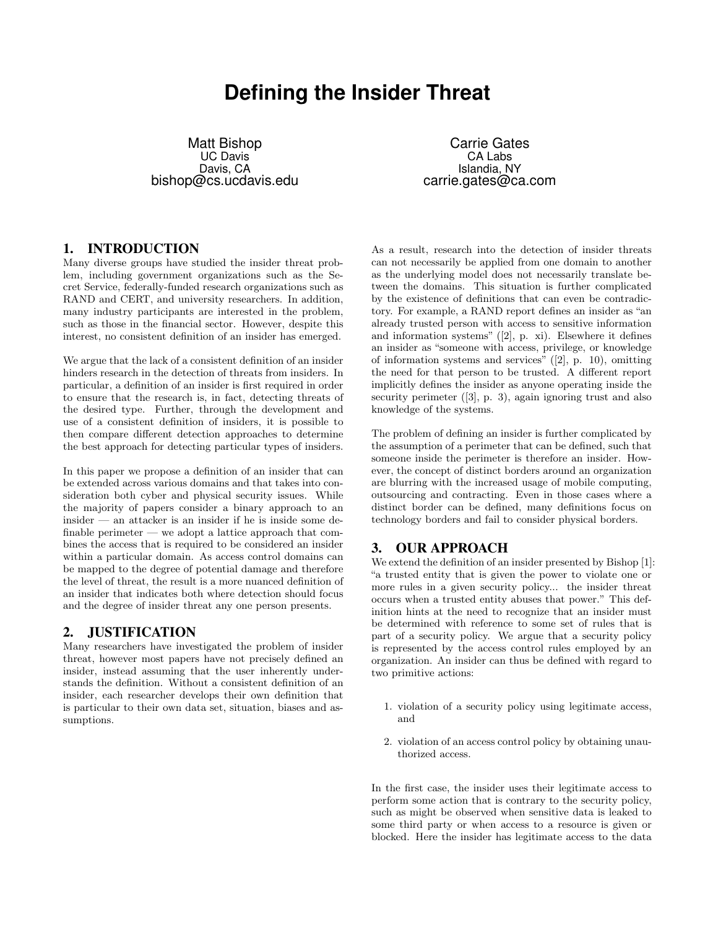# **Defining the Insider Threat**

Matt Bishop UC Davis Davis, CA bishop@cs.ucdavis.edu

Carrie Gates CA Labs Islandia, NY carrie.gates@ca.com

## 1. INTRODUCTION

Many diverse groups have studied the insider threat problem, including government organizations such as the Secret Service, federally-funded research organizations such as RAND and CERT, and university researchers. In addition, many industry participants are interested in the problem, such as those in the financial sector. However, despite this interest, no consistent definition of an insider has emerged.

We argue that the lack of a consistent definition of an insider hinders research in the detection of threats from insiders. In particular, a definition of an insider is first required in order to ensure that the research is, in fact, detecting threats of the desired type. Further, through the development and use of a consistent definition of insiders, it is possible to then compare different detection approaches to determine the best approach for detecting particular types of insiders.

In this paper we propose a definition of an insider that can be extended across various domains and that takes into consideration both cyber and physical security issues. While the majority of papers consider a binary approach to an  $insider$  — an attacker is an insider if he is inside some definable perimeter — we adopt a lattice approach that combines the access that is required to be considered an insider within a particular domain. As access control domains can be mapped to the degree of potential damage and therefore the level of threat, the result is a more nuanced definition of an insider that indicates both where detection should focus and the degree of insider threat any one person presents.

## 2. JUSTIFICATION

Many researchers have investigated the problem of insider threat, however most papers have not precisely defined an insider, instead assuming that the user inherently understands the definition. Without a consistent definition of an insider, each researcher develops their own definition that is particular to their own data set, situation, biases and assumptions.

As a result, research into the detection of insider threats can not necessarily be applied from one domain to another as the underlying model does not necessarily translate between the domains. This situation is further complicated by the existence of definitions that can even be contradictory. For example, a RAND report defines an insider as "an already trusted person with access to sensitive information and information systems" ([2], p. xi). Elsewhere it defines an insider as "someone with access, privilege, or knowledge of information systems and services" ([2], p. 10), omitting the need for that person to be trusted. A different report implicitly defines the insider as anyone operating inside the security perimeter ([3], p. 3), again ignoring trust and also knowledge of the systems.

The problem of defining an insider is further complicated by the assumption of a perimeter that can be defined, such that someone inside the perimeter is therefore an insider. However, the concept of distinct borders around an organization are blurring with the increased usage of mobile computing, outsourcing and contracting. Even in those cases where a distinct border can be defined, many definitions focus on technology borders and fail to consider physical borders.

## 3. OUR APPROACH

We extend the definition of an insider presented by Bishop [1]: "a trusted entity that is given the power to violate one or more rules in a given security policy... the insider threat occurs when a trusted entity abuses that power." This definition hints at the need to recognize that an insider must be determined with reference to some set of rules that is part of a security policy. We argue that a security policy is represented by the access control rules employed by an organization. An insider can thus be defined with regard to two primitive actions:

- 1. violation of a security policy using legitimate access, and
- 2. violation of an access control policy by obtaining unauthorized access.

In the first case, the insider uses their legitimate access to perform some action that is contrary to the security policy, such as might be observed when sensitive data is leaked to some third party or when access to a resource is given or blocked. Here the insider has legitimate access to the data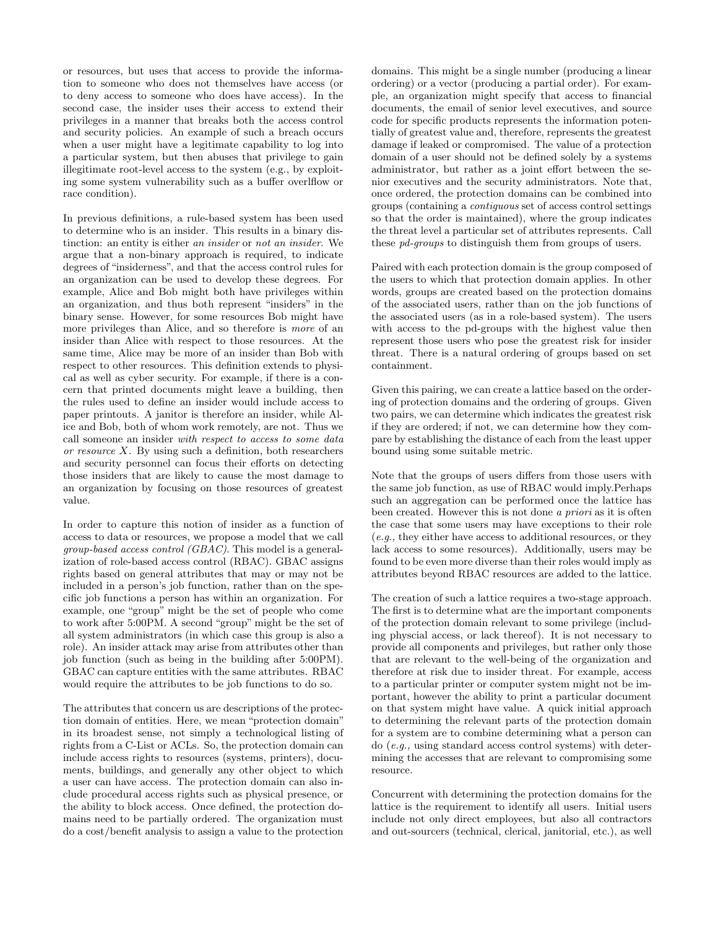or resources, but uses that access to provide the information to someone who does not themselves have access (or to deny access to someone who does have access). In the second case, the insider uses their access to extend their privileges in a manner that breaks both the access control and security policies. An example of such a breach occurs when a user might have a legitimate capability to log into a particular system, but then abuses that privilege to gain illegitimate root-level access to the system (e.g., by exploiting some system vulnerability such as a buffer overlflow or race condition).

In previous definitions, a rule-based system has been used to determine who is an insider. This results in a binary distinction: an entity is either an insider or not an insider. We argue that a non-binary approach is required, to indicate degrees of "insiderness", and that the access control rules for an organization can be used to develop these degrees. For example, Alice and Bob might both have privileges within an organization, and thus both represent "insiders" in the binary sense. However, for some resources Bob might have more privileges than Alice, and so therefore is more of an insider than Alice with respect to those resources. At the same time, Alice may be more of an insider than Bob with respect to other resources. This definition extends to physical as well as cyber security. For example, if there is a concern that printed documents might leave a building, then the rules used to define an insider would include access to paper printouts. A janitor is therefore an insider, while Alice and Bob, both of whom work remotely, are not. Thus we call someone an insider with respect to access to some data or resource  $X$ . By using such a definition, both researchers and security personnel can focus their efforts on detecting those insiders that are likely to cause the most damage to an organization by focusing on those resources of greatest value.

In order to capture this notion of insider as a function of access to data or resources, we propose a model that we call group-based access control (GBAC). This model is a generalization of role-based access control (RBAC). GBAC assigns rights based on general attributes that may or may not be included in a person's job function, rather than on the specific job functions a person has within an organization. For example, one "group" might be the set of people who come to work after 5:00PM. A second "group" might be the set of all system administrators (in which case this group is also a role). An insider attack may arise from attributes other than job function (such as being in the building after 5:00PM). GBAC can capture entities with the same attributes. RBAC would require the attributes to be job functions to do so.

The attributes that concern us are descriptions of the protection domain of entities. Here, we mean "protection domain" in its broadest sense, not simply a technological listing of rights from a C-List or ACLs. So, the protection domain can include access rights to resources (systems, printers), documents, buildings, and generally any other object to which a user can have access. The protection domain can also include procedural access rights such as physical presence, or the ability to block access. Once defined, the protection domains need to be partially ordered. The organization must do a cost/benefit analysis to assign a value to the protection

domains. This might be a single number (producing a linear ordering) or a vector (producing a partial order). For example, an organization might specify that access to financial documents, the email of senior level executives, and source code for specific products represents the information potentially of greatest value and, therefore, represents the greatest damage if leaked or compromised. The value of a protection domain of a user should not be defined solely by a systems administrator, but rather as a joint effort between the senior executives and the security administrators. Note that, once ordered, the protection domains can be combined into groups (containing a contiguous set of access control settings so that the order is maintained), where the group indicates the threat level a particular set of attributes represents. Call these pd-groups to distinguish them from groups of users.

Paired with each protection domain is the group composed of the users to which that protection domain applies. In other words, groups are created based on the protection domains of the associated users, rather than on the job functions of the associated users (as in a role-based system). The users with access to the pd-groups with the highest value then represent those users who pose the greatest risk for insider threat. There is a natural ordering of groups based on set containment.

Given this pairing, we can create a lattice based on the ordering of protection domains and the ordering of groups. Given two pairs, we can determine which indicates the greatest risk if they are ordered; if not, we can determine how they compare by establishing the distance of each from the least upper bound using some suitable metric.

Note that the groups of users differs from those users with the same job function, as use of RBAC would imply.Perhaps such an aggregation can be performed once the lattice has been created. However this is not done a priori as it is often the case that some users may have exceptions to their role (e.g., they either have access to additional resources, or they lack access to some resources). Additionally, users may be found to be even more diverse than their roles would imply as attributes beyond RBAC resources are added to the lattice.

The creation of such a lattice requires a two-stage approach. The first is to determine what are the important components of the protection domain relevant to some privilege (including physcial access, or lack thereof). It is not necessary to provide all components and privileges, but rather only those that are relevant to the well-being of the organization and therefore at risk due to insider threat. For example, access to a particular printer or computer system might not be important, however the ability to print a particular document on that system might have value. A quick initial approach to determining the relevant parts of the protection domain for a system are to combine determining what a person can do (e.g., using standard access control systems) with determining the accesses that are relevant to compromising some resource.

Concurrent with determining the protection domains for the lattice is the requirement to identify all users. Initial users include not only direct employees, but also all contractors and out-sourcers (technical, clerical, janitorial, etc.), as well